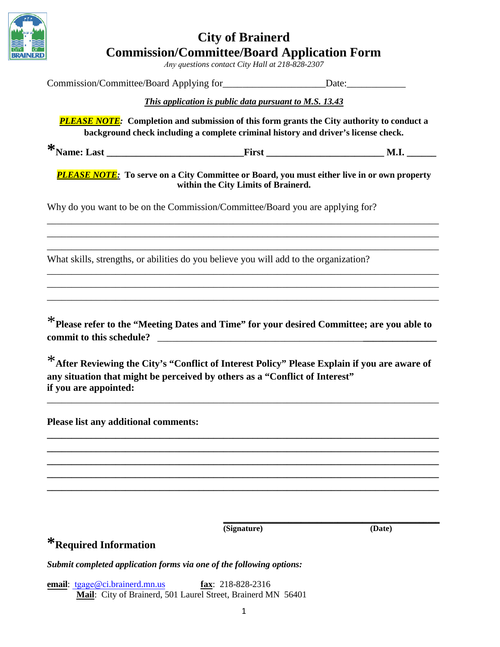

### **City of Brainerd Commission/Committee/Board Application Form**

*Any questions contact City Hall at 218-828-2307* 

|                                      | <b>This application is public data pursuant to M.S. 13.43</b>                                                                                                                                                                                                             |        |
|--------------------------------------|---------------------------------------------------------------------------------------------------------------------------------------------------------------------------------------------------------------------------------------------------------------------------|--------|
|                                      | <b>PLEASE NOTE:</b> Completion and submission of this form grants the City authority to conduct a<br>background check including a complete criminal history and driver's license check.                                                                                   |        |
|                                      |                                                                                                                                                                                                                                                                           |        |
|                                      | <b>PLEASE NOTE:</b> To serve on a City Committee or Board, you must either live in or own property<br>within the City Limits of Brainerd.                                                                                                                                 |        |
|                                      | Why do you want to be on the Commission/Committee/Board you are applying for?                                                                                                                                                                                             |        |
|                                      | What skills, strengths, or abilities do you believe you will add to the organization?                                                                                                                                                                                     |        |
| if you are appointed:                | * Please refer to the "Meeting Dates and Time" for your desired Committee; are you able to<br>*After Reviewing the City's "Conflict of Interest Policy" Please Explain if you are aware of<br>any situation that might be perceived by others as a "Conflict of Interest" |        |
| Please list any additional comments: |                                                                                                                                                                                                                                                                           |        |
|                                      |                                                                                                                                                                                                                                                                           |        |
| *Required Information                | (Signature)                                                                                                                                                                                                                                                               | (Date) |
|                                      | Submit completed application forms via one of the following options:                                                                                                                                                                                                      |        |
| email: tgage@ci.brainerd.mn.us       | fax: $218-828-2316$<br>Mail: City of Brainerd, 501 Laurel Street, Brainerd MN 56401                                                                                                                                                                                       |        |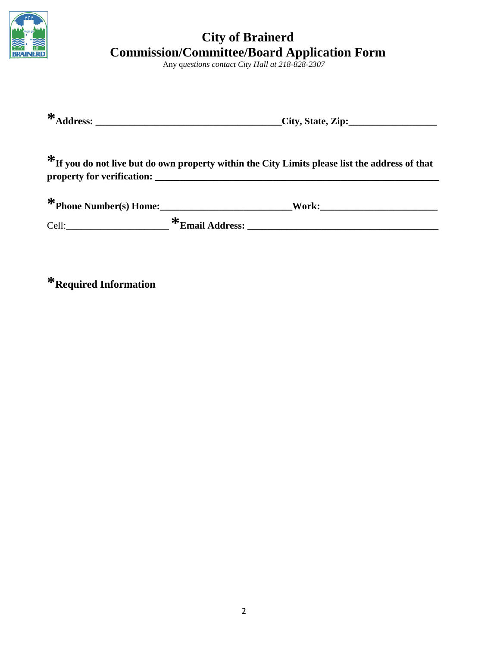

## **City of Brainerd Commission/Committee/Board Application Form**

Any q*uestions contact City Hall at 218-828-2307*

| -20<br>$\sim$ $\sim$<br><b>Address:</b> | City, State, Zip: |
|-----------------------------------------|-------------------|
|-----------------------------------------|-------------------|

**\*If you do not live but do own property within the City Limits please list the address of that property for verification: \_\_\_\_\_\_\_\_\_\_\_\_\_\_\_\_\_\_\_\_\_\_\_\_\_\_\_\_\_\_\_\_\_\_\_\_\_\_\_\_\_\_\_\_\_\_\_\_\_\_\_\_\_\_\_\_\_\_**

| * Phone Number(s) Home: | Work:                  |  |  |
|-------------------------|------------------------|--|--|
| Cell:                   | -74<br>*Email Address: |  |  |

**\*Required Information**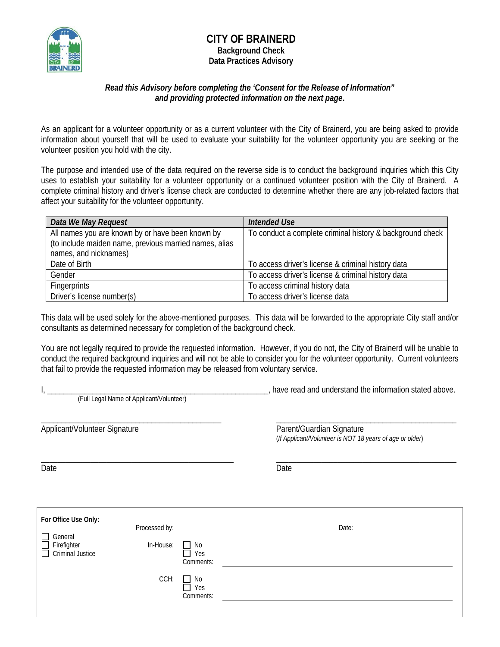

### **CITY OF BRAINERD Background Check Data Practices Advisory**

#### *Read this Advisory before completing the 'Consent for the Release of Information" and providing protected information on the next page***.**

As an applicant for a volunteer opportunity or as a current volunteer with the City of Brainerd, you are being asked to provide information about yourself that will be used to evaluate your suitability for the volunteer opportunity you are seeking or the volunteer position you hold with the city.

The purpose and intended use of the data required on the reverse side is to conduct the background inquiries which this City uses to establish your suitability for a volunteer opportunity or a continued volunteer position with the City of Brainerd. A complete criminal history and driver's license check are conducted to determine whether there are any job-related factors that affect your suitability for the volunteer opportunity.

| Data We May Request                                                                                                                 | <b>Intended Use</b>                                       |
|-------------------------------------------------------------------------------------------------------------------------------------|-----------------------------------------------------------|
| All names you are known by or have been known by<br>(to include maiden name, previous married names, alias<br>names, and nicknames) | To conduct a complete criminal history & background check |
| Date of Birth                                                                                                                       | To access driver's license & criminal history data        |
| Gender                                                                                                                              | To access driver's license & criminal history data        |
| <b>Fingerprints</b>                                                                                                                 | To access criminal history data                           |
| Driver's license number(s)                                                                                                          | To access driver's license data                           |

This data will be used solely for the above-mentioned purposes. This data will be forwarded to the appropriate City staff and/or consultants as determined necessary for completion of the background check.

You are not legally required to provide the requested information. However, if you do not, the City of Brainerd will be unable to conduct the required background inquiries and will not be able to consider you for the volunteer opportunity. Current volunteers that fail to provide the requested information may be released from voluntary service.

I, \_\_\_\_\_\_\_\_\_\_\_\_\_\_\_\_\_\_\_\_\_\_\_\_\_\_\_\_\_\_\_\_\_\_\_\_\_\_\_\_\_\_\_\_\_\_\_\_\_\_\_\_\_\_, have read and understand the information stated above. (Full Legal Name of Applicant/Volunteer) \_\_\_\_\_\_\_\_\_\_\_\_\_\_\_\_\_\_\_\_\_\_\_\_\_\_\_\_\_\_\_\_\_\_\_\_\_\_\_\_\_\_\_\_ \_\_\_\_\_\_\_\_\_\_\_\_\_\_\_\_\_\_\_\_\_\_\_\_\_\_\_\_\_\_\_\_\_\_\_\_\_\_\_\_\_\_\_\_ Applicant/Volunteer Signature **Parent/Guardian Signature** Parent/Guardian Signature

(*If Applicant/Volunteer is NOT 18 years of age or older*)

Date **Date Date Date Date Date Date Date** 

\_\_\_\_\_\_\_\_\_\_\_\_\_\_\_\_\_\_\_\_\_\_\_\_\_\_\_\_\_\_\_\_\_\_\_\_\_\_\_\_\_\_\_\_\_\_\_ \_\_\_\_\_\_\_\_\_\_\_\_\_\_\_\_\_\_\_\_\_\_\_\_\_\_\_\_\_\_\_\_\_\_\_\_\_\_\_\_\_\_\_\_

| For Office Use Only:                                                                     |               |                                          |       |
|------------------------------------------------------------------------------------------|---------------|------------------------------------------|-------|
|                                                                                          | Processed by: |                                          | Date: |
| General<br>$\blacksquare$<br>Firefighter<br>$\blacksquare$<br>Criminal Justice<br>$\Box$ | In-House:     | No<br>$\blacksquare$<br>Yes<br>Comments: |       |
|                                                                                          | CCH:          | No<br>$\blacksquare$<br>Yes<br>Comments: |       |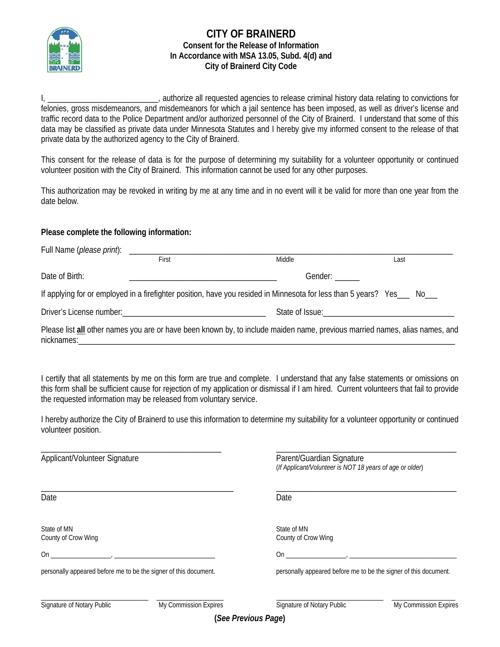

#### **CITY OF BRAINERD Consent for the Release of Information In Accordance with MSA 13.05, Subd. 4(d) and City of Brainerd City Code**

I, \_\_\_\_\_\_\_\_\_\_\_\_\_\_\_\_\_\_\_\_\_\_\_\_\_\_\_\_, authorize all requested agencies to release criminal history data relating to convictions for felonies, gross misdemeanors, and misdemeanors for which a jail sentence has been imposed, as well as driver's license and traffic record data to the Police Department and/or authorized personnel of the City of Brainerd. I understand that some of this data may be classified as private data under Minnesota Statutes and I hereby give my informed consent to the release of that private data by the authorized agency to the City of Brainerd.

This consent for the release of data is for the purpose of determining my suitability for a volunteer opportunity or continued volunteer position with the City of Brainerd. This information cannot be used for any other purposes.

This authorization may be revoked in writing by me at any time and in no event will it be valid for more than one year from the date below.

#### **Please complete the following information:**

|                             | First | Middle                                                                                                                      | Last                                |
|-----------------------------|-------|-----------------------------------------------------------------------------------------------------------------------------|-------------------------------------|
| Date of Birth:              |       | Gender:                                                                                                                     |                                     |
|                             |       | If applying for or employed in a firefighter position, have you resided in Minnesota for less than 5 years? Yes____ No___   |                                     |
|                             |       |                                                                                                                             | State of Issue: The State of Issue: |
| nicknames:_________________ |       | Please list all other names you are or have been known by, to include maiden name, previous married names, alias names, and |                                     |

I certify that all statements by me on this form are true and complete. I understand that any false statements or omissions on this form shall be sufficient cause for rejection of my application or dismissal if I am hired. Current volunteers that fail to provide the requested information may be released from voluntary service.

I hereby authorize the City of Brainerd to use this information to determine my suitability for a volunteer opportunity or continued volunteer position.

| Applicant/Volunteer Signature                                    |                       | Parent/Guardian Signature<br>(If Applicant/Volunteer is NOT 18 years of age or older) |                       |  |
|------------------------------------------------------------------|-----------------------|---------------------------------------------------------------------------------------|-----------------------|--|
| Date                                                             |                       | Date                                                                                  |                       |  |
| State of MN<br>County of Crow Wing                               |                       | State of MN<br>County of Crow Wing                                                    |                       |  |
| On<br>and the company of the com-                                |                       | On                                                                                    |                       |  |
| personally appeared before me to be the signer of this document. |                       | personally appeared before me to be the signer of this document.                      |                       |  |
| Signature of Notary Public                                       | My Commission Expires | Signature of Notary Public                                                            | My Commission Expires |  |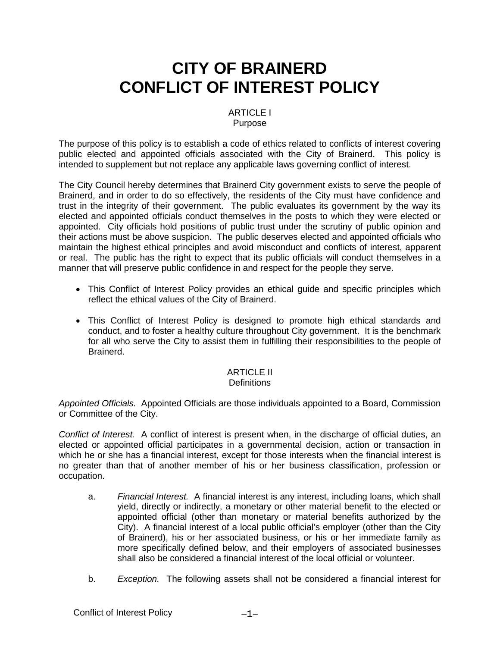## **CITY OF BRAINERD CONFLICT OF INTEREST POLICY**

#### ARTICLE I Purpose

The purpose of this policy is to establish a code of ethics related to conflicts of interest covering public elected and appointed officials associated with the City of Brainerd. This policy is intended to supplement but not replace any applicable laws governing conflict of interest.

The City Council hereby determines that Brainerd City government exists to serve the people of Brainerd, and in order to do so effectively, the residents of the City must have confidence and trust in the integrity of their government. The public evaluates its government by the way its elected and appointed officials conduct themselves in the posts to which they were elected or appointed. City officials hold positions of public trust under the scrutiny of public opinion and their actions must be above suspicion. The public deserves elected and appointed officials who maintain the highest ethical principles and avoid misconduct and conflicts of interest, apparent or real. The public has the right to expect that its public officials will conduct themselves in a manner that will preserve public confidence in and respect for the people they serve.

- This Conflict of Interest Policy provides an ethical guide and specific principles which reflect the ethical values of the City of Brainerd.
- This Conflict of Interest Policy is designed to promote high ethical standards and conduct, and to foster a healthy culture throughout City government. It is the benchmark for all who serve the City to assist them in fulfilling their responsibilities to the people of Brainerd.

#### ARTICLE II

#### **Definitions**

*Appointed Officials.* Appointed Officials are those individuals appointed to a Board, Commission or Committee of the City.

*Conflict of Interest.* A conflict of interest is present when, in the discharge of official duties, an elected or appointed official participates in a governmental decision, action or transaction in which he or she has a financial interest, except for those interests when the financial interest is no greater than that of another member of his or her business classification, profession or occupation.

- a. *Financial Interest.* A financial interest is any interest, including loans, which shall yield, directly or indirectly, a monetary or other material benefit to the elected or appointed official (other than monetary or material benefits authorized by the City). A financial interest of a local public official's employer (other than the City of Brainerd), his or her associated business, or his or her immediate family as more specifically defined below, and their employers of associated businesses shall also be considered a financial interest of the local official or volunteer.
- b. *Exception.* The following assets shall not be considered a financial interest for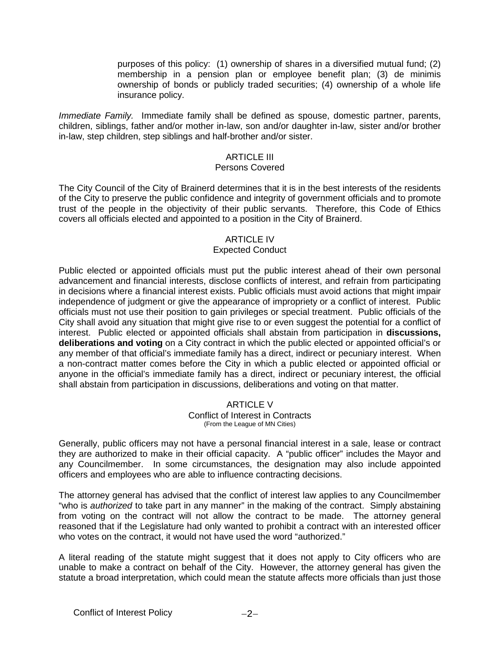purposes of this policy: (1) ownership of shares in a diversified mutual fund; (2) membership in a pension plan or employee benefit plan; (3) de minimis ownership of bonds or publicly traded securities; (4) ownership of a whole life insurance policy.

*Immediate Family.* Immediate family shall be defined as spouse, domestic partner, parents, children, siblings, father and/or mother in-law, son and/or daughter in-law, sister and/or brother in-law, step children, step siblings and half-brother and/or sister.

#### ARTICLE III

#### Persons Covered

The City Council of the City of Brainerd determines that it is in the best interests of the residents of the City to preserve the public confidence and integrity of government officials and to promote trust of the people in the objectivity of their public servants. Therefore, this Code of Ethics covers all officials elected and appointed to a position in the City of Brainerd.

#### ARTICLE IV

#### Expected Conduct

Public elected or appointed officials must put the public interest ahead of their own personal advancement and financial interests, disclose conflicts of interest, and refrain from participating in decisions where a financial interest exists. Public officials must avoid actions that might impair independence of judgment or give the appearance of impropriety or a conflict of interest. Public officials must not use their position to gain privileges or special treatment. Public officials of the City shall avoid any situation that might give rise to or even suggest the potential for a conflict of interest. Public elected or appointed officials shall abstain from participation in **discussions, deliberations and voting** on a City contract in which the public elected or appointed official's or any member of that official's immediate family has a direct, indirect or pecuniary interest. When a non-contract matter comes before the City in which a public elected or appointed official or anyone in the official's immediate family has a direct, indirect or pecuniary interest, the official shall abstain from participation in discussions, deliberations and voting on that matter.

#### ARTICLE V Conflict of Interest in Contracts (From the League of MN Cities)

Generally, public officers may not have a personal financial interest in a sale, lease or contract they are authorized to make in their official capacity. A "public officer" includes the Mayor and any Councilmember. In some circumstances, the designation may also include appointed officers and employees who are able to influence contracting decisions.

The attorney general has advised that the conflict of interest law applies to any Councilmember "who is *authorized* to take part in any manner" in the making of the contract. Simply abstaining from voting on the contract will not allow the contract to be made. The attorney general reasoned that if the Legislature had only wanted to prohibit a contract with an interested officer who votes on the contract, it would not have used the word "authorized."

A literal reading of the statute might suggest that it does not apply to City officers who are unable to make a contract on behalf of the City. However, the attorney general has given the statute a broad interpretation, which could mean the statute affects more officials than just those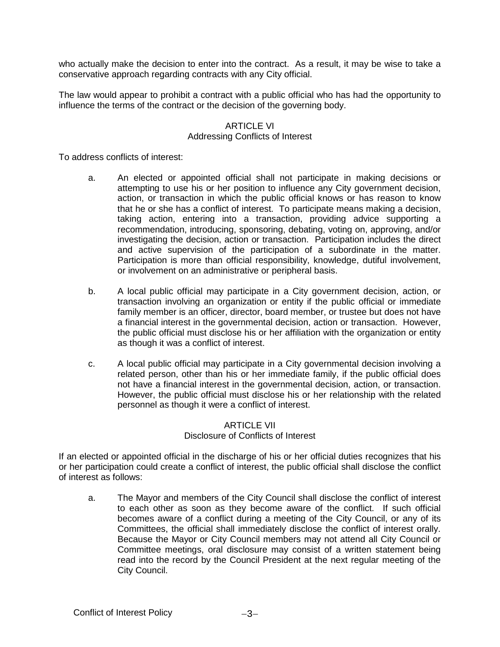who actually make the decision to enter into the contract. As a result, it may be wise to take a conservative approach regarding contracts with any City official.

The law would appear to prohibit a contract with a public official who has had the opportunity to influence the terms of the contract or the decision of the governing body.

#### ARTICLE VI Addressing Conflicts of Interest

To address conflicts of interest:

- a. An elected or appointed official shall not participate in making decisions or attempting to use his or her position to influence any City government decision, action, or transaction in which the public official knows or has reason to know that he or she has a conflict of interest. To participate means making a decision, taking action, entering into a transaction, providing advice supporting a recommendation, introducing, sponsoring, debating, voting on, approving, and/or investigating the decision, action or transaction. Participation includes the direct and active supervision of the participation of a subordinate in the matter. Participation is more than official responsibility, knowledge, dutiful involvement, or involvement on an administrative or peripheral basis.
- b. A local public official may participate in a City government decision, action, or transaction involving an organization or entity if the public official or immediate family member is an officer, director, board member, or trustee but does not have a financial interest in the governmental decision, action or transaction. However, the public official must disclose his or her affiliation with the organization or entity as though it was a conflict of interest.
- c. A local public official may participate in a City governmental decision involving a related person, other than his or her immediate family, if the public official does not have a financial interest in the governmental decision, action, or transaction. However, the public official must disclose his or her relationship with the related personnel as though it were a conflict of interest.

#### ARTICLE VII Disclosure of Conflicts of Interest

If an elected or appointed official in the discharge of his or her official duties recognizes that his or her participation could create a conflict of interest, the public official shall disclose the conflict of interest as follows:

a. The Mayor and members of the City Council shall disclose the conflict of interest to each other as soon as they become aware of the conflict. If such official becomes aware of a conflict during a meeting of the City Council, or any of its Committees, the official shall immediately disclose the conflict of interest orally. Because the Mayor or City Council members may not attend all City Council or Committee meetings, oral disclosure may consist of a written statement being read into the record by the Council President at the next regular meeting of the City Council.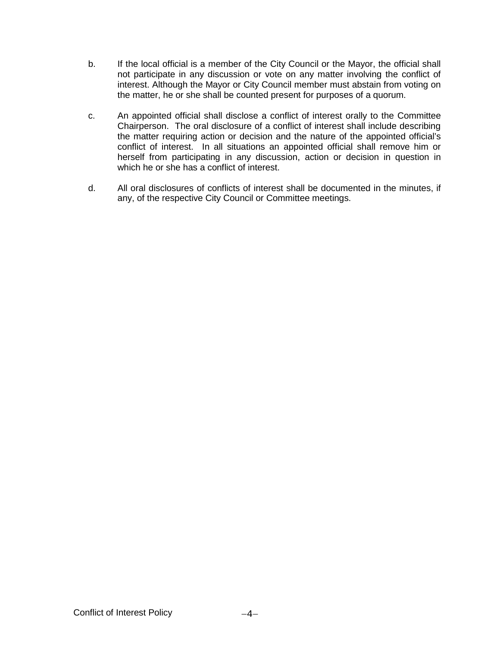- b. If the local official is a member of the City Council or the Mayor, the official shall not participate in any discussion or vote on any matter involving the conflict of interest. Although the Mayor or City Council member must abstain from voting on the matter, he or she shall be counted present for purposes of a quorum.
- c. An appointed official shall disclose a conflict of interest orally to the Committee Chairperson. The oral disclosure of a conflict of interest shall include describing the matter requiring action or decision and the nature of the appointed official's conflict of interest. In all situations an appointed official shall remove him or herself from participating in any discussion, action or decision in question in which he or she has a conflict of interest.
- d. All oral disclosures of conflicts of interest shall be documented in the minutes, if any, of the respective City Council or Committee meetings.